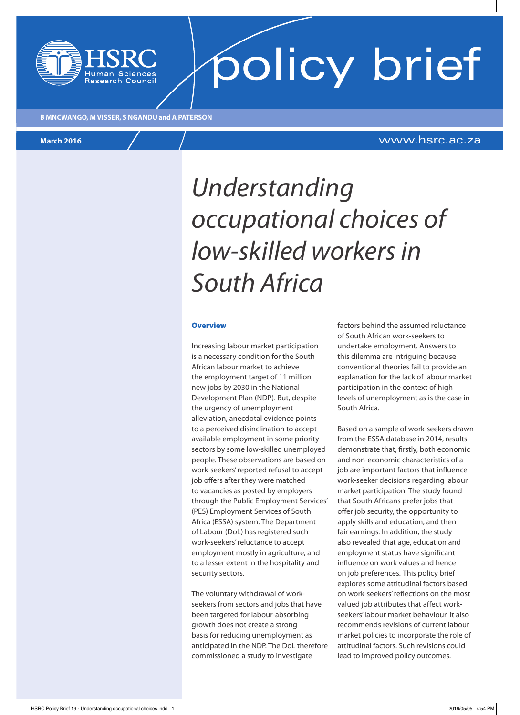

policy brief

**B MNCWANGO, M VISSER, S NGANDU and A PATERSON**

## **March 2016** www.hsrc.ac.za

# *Understanding occupational choices of low-skilled workers in South Africa*

#### **Overview**

Increasing labour market participation is a necessary condition for the South African labour market to achieve the employment target of 11 million new jobs by 2030 in the National Development Plan (NDP). But, despite the urgency of unemployment alleviation, anecdotal evidence points to a perceived disinclination to accept available employment in some priority sectors by some low-skilled unemployed people. These observations are based on work-seekers' reported refusal to accept job offers after they were matched to vacancies as posted by employers through the Public Employment Services' (PES) Employment Services of South Africa (ESSA) system. The Department of Labour (DoL) has registered such work-seekers' reluctance to accept employment mostly in agriculture, and to a lesser extent in the hospitality and security sectors.

The voluntary withdrawal of workseekers from sectors and jobs that have been targeted for labour-absorbing growth does not create a strong basis for reducing unemployment as anticipated in the NDP. The DoL therefore commissioned a study to investigate

factors behind the assumed reluctance of South African work-seekers to undertake employment. Answers to this dilemma are intriguing because conventional theories fail to provide an explanation for the lack of labour market participation in the context of high levels of unemployment as is the case in South Africa.

Based on a sample of work-seekers drawn from the ESSA database in 2014, results demonstrate that, firstly, both economic and non-economic characteristics of a job are important factors that influence work-seeker decisions regarding labour market participation. The study found that South Africans prefer jobs that offer job security, the opportunity to apply skills and education, and then fair earnings. In addition, the study also revealed that age, education and employment status have significant influence on work values and hence on job preferences. This policy brief explores some attitudinal factors based on work-seekers' reflections on the most valued job attributes that affect workseekers' labour market behaviour. It also recommends revisions of current labour market policies to incorporate the role of attitudinal factors. Such revisions could lead to improved policy outcomes.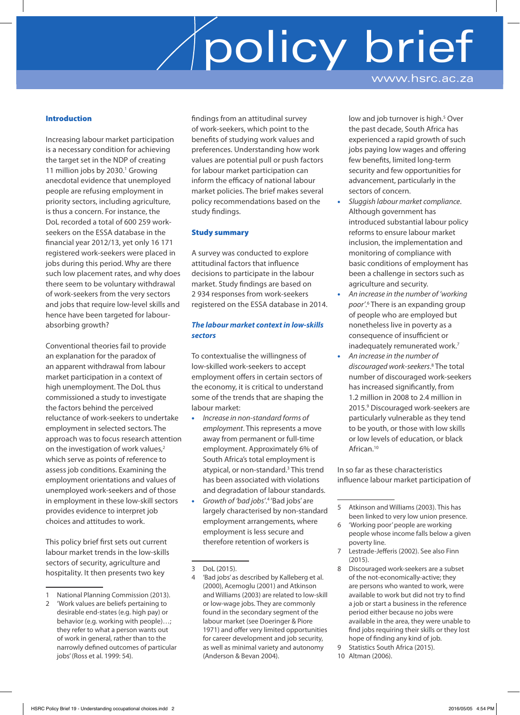#### Introduction

Increasing labour market participation is a necessary condition for achieving the target set in the NDP of creating 11 million jobs by 2030.<sup>1</sup> Growing anecdotal evidence that unemployed people are refusing employment in priority sectors, including agriculture, is thus a concern. For instance, the DoL recorded a total of 600 259 workseekers on the ESSA database in the financial year 2012/13, yet only 16 171 registered work-seekers were placed in jobs during this period. Why are there such low placement rates, and why does there seem to be voluntary withdrawal of work-seekers from the very sectors and jobs that require low-level skills and hence have been targeted for labourabsorbing growth?

Conventional theories fail to provide an explanation for the paradox of an apparent withdrawal from labour market participation in a context of high unemployment. The DoL thus commissioned a study to investigate the factors behind the perceived reluctance of work-seekers to undertake employment in selected sectors. The approach was to focus research attention on the investigation of work values,<sup>2</sup> which serve as points of reference to assess job conditions. Examining the employment orientations and values of unemployed work-seekers and of those in employment in these low-skill sectors provides evidence to interpret job choices and attitudes to work.

This policy brief first sets out current labour market trends in the low-skills sectors of security, agriculture and hospitality. It then presents two key

findings from an attitudinal survey of work-seekers, which point to the benefits of studying work values and preferences. Understanding how work values are potential pull or push factors for labour market participation can inform the efficacy of national labour market policies. The brief makes several policy recommendations based on the study findings.

#### Study summary

A survey was conducted to explore attitudinal factors that influence decisions to participate in the labour market. Study findings are based on 2 934 responses from work-seekers registered on the ESSA database in 2014.

### *The labour market context in low-skills sectors*

To contextualise the willingness of low-skilled work-seekers to accept employment offers in certain sectors of the economy, it is critical to understand some of the trends that are shaping the labour market:

- *Increase in non-standard forms of employment*. This represents a move away from permanent or full-time employment. Approximately 6% of South Africa's total employment is atypical, or non-standard.<sup>3</sup> This trend has been associated with violations and degradation of labour standards.
- Growth of 'bad jobs'.<sup>4</sup> 'Bad jobs' are largely characterised by non-standard employment arrangements, where employment is less secure and therefore retention of workers is

low and job turnover is high.<sup>5</sup> Over the past decade, South Africa has experienced a rapid growth of such jobs paying low wages and offering few benefits, limited long-term security and few opportunities for advancement, particularly in the sectors of concern.

- *Sluggish labour market compliance*. Although government has introduced substantial labour policy reforms to ensure labour market inclusion, the implementation and monitoring of compliance with basic conditions of employment has been a challenge in sectors such as agriculture and security.
- *An increase in the number of 'working*  poor'.<sup>6</sup> There is an expanding group of people who are employed but nonetheless live in poverty as a consequence of insufficient or inadequately remunerated work.<sup>7</sup>
- *An increase in the number of discouraged work-seekers*. 8 The total number of discouraged work-seekers has increased significantly, from 1.2 million in 2008 to 2.4 million in 2015.9 Discouraged work-seekers are particularly vulnerable as they tend to be youth, or those with low skills or low levels of education, or black African.10

In so far as these characteristics influence labour market participation of

- 8 Discouraged work-seekers are a subset of the not-economically-active; they are persons who wanted to work, were available to work but did not try to find a job or start a business in the reference period either because no jobs were available in the area, they were unable to find jobs requiring their skills or they lost hope of finding any kind of job.
- 9 Statistics South Africa (2015).
- 10 Altman (2006).

<sup>1</sup> National Planning Commission (2013).

<sup>2</sup> 'Work values are beliefs pertaining to desirable end-states (e.g. high pay) or behavior (e.g. working with people)…; they refer to what a person wants out of work in general, rather than to the narrowly defined outcomes of particular jobs' (Ross et al. 1999: 54).

<sup>3</sup> DoL (2015).

<sup>4</sup> 'Bad jobs' as described by Kalleberg et al. (2000), Acemoglu (2001) and Atkinson and Williams (2003) are related to low-skill or low-wage jobs. They are commonly found in the secondary segment of the labour market (see Doeringer & Piore 1971) and offer very limited opportunities for career development and job security, as well as minimal variety and autonomy (Anderson & Bevan 2004).

<sup>5</sup> Atkinson and Williams (2003). This has been linked to very low union presence.

<sup>6</sup> 'Working poor' people are working people whose income falls below a given poverty line.

<sup>7</sup> Lestrade-Jefferis (2002). See also Finn (2015).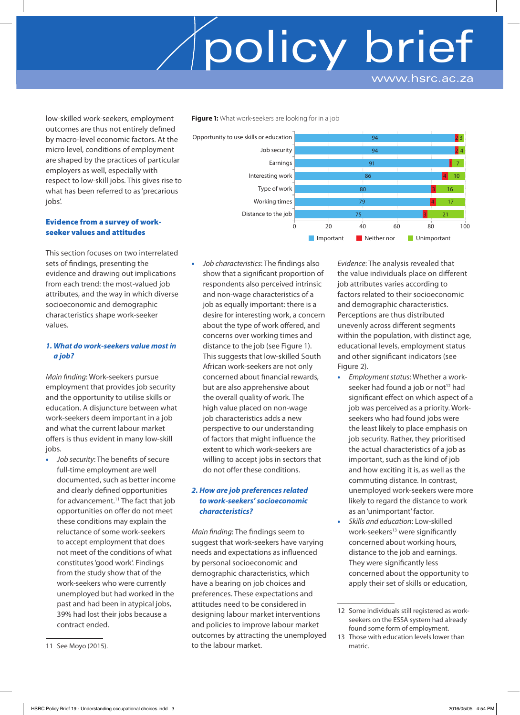low-skilled work-seekers, employment outcomes are thus not entirely defined by macro-level economic factors. At the micro level, conditions of employment are shaped by the practices of particular employers as well, especially with respect to low-skill jobs. This gives rise to what has been referred to as 'precarious jobs'.

### Evidence from a survey of workseeker values and attitudes

This section focuses on two interrelated sets of findings, presenting the evidence and drawing out implications from each trend: the most-valued job attributes, and the way in which diverse socioeconomic and demographic characteristics shape work-seeker values.

### *1. What do work-seekers value most in a job?*

*Main finding*: Work-seekers pursue employment that provides job security and the opportunity to utilise skills or education. A disjuncture between what work-seekers deem important in a job and what the current labour market offers is thus evident in many low-skill jobs.

• *Job security*: The benefits of secure full-time employment are well documented, such as better income and clearly defined opportunities for advancement.<sup>11</sup> The fact that job opportunities on offer do not meet these conditions may explain the reluctance of some work-seekers to accept employment that does not meet of the conditions of what constitutes 'good work'. Findings from the study show that of the work-seekers who were currently unemployed but had worked in the past and had been in atypical jobs, 39% had lost their jobs because a contract ended.

• *Job characteristics*: The findings also show that a significant proportion of respondents also perceived intrinsic and non-wage characteristics of a job as equally important: there is a desire for interesting work, a concern about the type of work offered, and concerns over working times and distance to the job (see Figure 1). This suggests that low-skilled South African work-seekers are not only concerned about financial rewards, but are also apprehensive about the overall quality of work. The high value placed on non-wage job characteristics adds a new perspective to our understanding of factors that might influence the extent to which work-seekers are willing to accept jobs in sectors that do not offer these conditions.

**Figure 1:** What work-seekers are looking for in a job

## *2. How are job preferences related to work-seekers' socioeconomic characteristics?*

*Main finding*: The findings seem to suggest that work-seekers have varying needs and expectations as influenced by personal socioeconomic and demographic characteristics, which have a bearing on job choices and preferences. These expectations and attitudes need to be considered in designing labour market interventions and policies to improve labour market outcomes by attracting the unemployed to the labour market.

*Evidence*: The analysis revealed that the value individuals place on different job attributes varies according to factors related to their socioeconomic and demographic characteristics. Perceptions are thus distributed unevenly across different segments within the population, with distinct age, educational levels, employment status and other significant indicators (see Figure 2).

- *Employment status*: Whether a workseeker had found a job or not<sup>12</sup> had significant effect on which aspect of a job was perceived as a priority. Workseekers who had found jobs were the least likely to place emphasis on job security. Rather, they prioritised the actual characteristics of a job as important, such as the kind of job and how exciting it is, as well as the commuting distance. In contrast, unemployed work-seekers were more likely to regard the distance to work as an 'unimportant' factor.
- *Skills and education*: Low-skilled work-seekers<sup>13</sup> were significantly concerned about working hours, distance to the job and earnings. They were significantly less concerned about the opportunity to apply their set of skills or education,

<sup>94</sup>  $\alpha$ 91 86 80 79 75 2 2 4 3 4 3 3 4 7 10 16 17 21 Opportunity to use skills or education Job security Earnings Interesting work Type of work Working times Distance to the job 0 20 40 60 80 100 **Important** Neither nor Unimportant

<sup>12</sup> Some individuals still registered as workseekers on the ESSA system had already found some form of employment.

<sup>13</sup> Those with education levels lower than matric.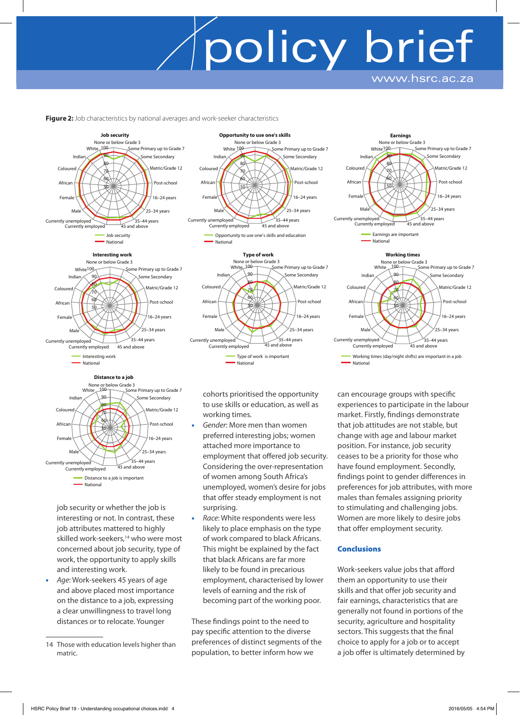**Figure 2:** Job characteristics by national averages and work-seeker characteristics











job security or whether the job is interesting or not. In contrast, these job attributes mattered to highly skilled work-seekers.<sup>14</sup> who were most concerned about job security, type of work, the opportunity to apply skills and interesting work.

• *Age*: Work-seekers 45 years of age and above placed most importance on the distance to a job, expressing a clear unwillingness to travel long distances or to relocate. Younger

cohorts prioritised the opportunity to use skills or education, as well as working times.

 $35-44$  years

25–34 years

 $35-44$  years<br>45 and above

50  $60$ 70 80  $\alpha$ None or below Grade 3<br>Mhite 100

**Type of work**

Opportunity to use one's skills and education

White

Currently unemployed<br>
Currently employed 45 and above

Male Female African Coloured Indian

National

 $\overline{50}$ 6a 70 80 90 White <sup>100</sup>

None or below Grade 3

**Opportunity to use one's skills**

- *Gender*: More men than women preferred interesting jobs; women attached more importance to employment that offered job security. Considering the over-representation of women among South Africa's unemployed, women's desire for jobs that offer steady employment is not surprising.
- *Race*: White respondents were less likely to place emphasis on the type of work compared to black Africans. This might be explained by the fact that black Africans are far more likely to be found in precarious employment, characterised by lower levels of earning and the risk of becoming part of the working poor.

These findings point to the need to pay specific attention to the diverse preferences of distinct segments of the population, to better inform how we

can encourage groups with specific experiences to participate in the labour market. Firstly, findings demonstrate that job attitudes are not stable, but change with age and labour market position. For instance, job security ceases to be a priority for those who have found employment. Secondly, findings point to gender differences in preferences for job attributes, with more males than females assigning priority to stimulating and challenging jobs. Women are more likely to desire jobs that offer employment security.

Working times (day/night shifts) are important in a job

### **Conclusions**

National

Work-seekers value jobs that afford them an opportunity to use their skills and that offer job security and fair earnings, characteristics that are generally not found in portions of the security, agriculture and hospitality sectors. This suggests that the final choice to apply for a job or to accept a job offer is ultimately determined by



<sup>14</sup> Those with education levels higher than matric.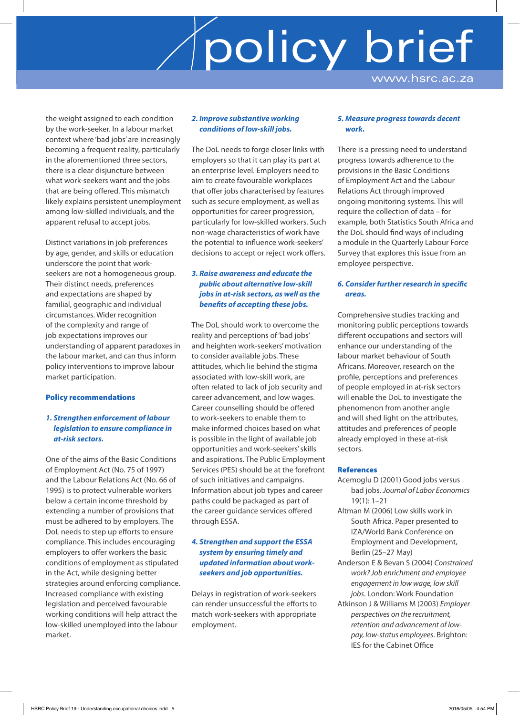the weight assigned to each condition by the work-seeker. In a labour market context where 'bad jobs' are increasingly becoming a frequent reality, particularly in the aforementioned three sectors, there is a clear disjuncture between what work-seekers want and the jobs that are being offered. This mismatch likely explains persistent unemployment among low-skilled individuals, and the apparent refusal to accept jobs.

Distinct variations in job preferences by age, gender, and skills or education underscore the point that workseekers are not a homogeneous group. Their distinct needs, preferences and expectations are shaped by familial, geographic and individual circumstances. Wider recognition of the complexity and range of job expectations improves our understanding of apparent paradoxes in the labour market, and can thus inform policy interventions to improve labour market participation.

### Policy recommendations

### *1. Strengthen enforcement of labour legislation to ensure compliance in at-risk sectors.*

One of the aims of the Basic Conditions of Employment Act (No. 75 of 1997) and the Labour Relations Act (No. 66 of 1995) is to protect vulnerable workers below a certain income threshold by extending a number of provisions that must be adhered to by employers. The DoL needs to step up efforts to ensure compliance. This includes encouraging employers to offer workers the basic conditions of employment as stipulated in the Act, while designing better strategies around enforcing compliance. Increased compliance with existing legislation and perceived favourable working conditions will help attract the low-skilled unemployed into the labour market.

#### *2. Improve substantive working conditions of low-skill jobs.*

The DoL needs to forge closer links with employers so that it can play its part at an enterprise level. Employers need to aim to create favourable workplaces that offer jobs characterised by features such as secure employment, as well as opportunities for career progression, particularly for low-skilled workers. Such non-wage characteristics of work have the potential to influence work-seekers' decisions to accept or reject work offers.

## *3. Raise awareness and educate the public about alternative low-skill jobs in at-risk sectors, as well as the benefits of accepting these jobs.*

The DoL should work to overcome the reality and perceptions of 'bad jobs' and heighten work-seekers' motivation to consider available jobs. These attitudes, which lie behind the stigma associated with low-skill work, are often related to lack of job security and career advancement, and low wages. Career counselling should be offered to work-seekers to enable them to make informed choices based on what is possible in the light of available job opportunities and work-seekers' skills and aspirations. The Public Employment Services (PES) should be at the forefront of such initiatives and campaigns. Information about job types and career paths could be packaged as part of the career guidance services offered through ESSA.

### *4. Strengthen and support the ESSA system by ensuring timely and updated information about workseekers and job opportunities.*

Delays in registration of work-seekers can render unsuccessful the efforts to match work-seekers with appropriate employment.

### *5. Measure progress towards decent work.*

There is a pressing need to understand progress towards adherence to the provisions in the Basic Conditions of Employment Act and the Labour Relations Act through improved ongoing monitoring systems. This will require the collection of data – for example, both Statistics South Africa and the DoL should find ways of including a module in the Quarterly Labour Force Survey that explores this issue from an employee perspective.

### *6. Consider further research in specific areas.*

Comprehensive studies tracking and monitoring public perceptions towards different occupations and sectors will enhance our understanding of the labour market behaviour of South Africans. Moreover, research on the profile, perceptions and preferences of people employed in at-risk sectors will enable the DoL to investigate the phenomenon from another angle and will shed light on the attributes, attitudes and preferences of people already employed in these at-risk sectors.

### References

- Acemoglu D (2001) Good jobs versus bad jobs. *Journal of Labor Economics* 19(1): 1–21
- Altman M (2006) Low skills work in South Africa. Paper presented to IZA/World Bank Conference on Employment and Development, Berlin (25–27 May)
- Anderson E & Bevan S (2004) *Constrained work? Job enrichment and employee engagement in low wage, low skill jobs*. London: Work Foundation
- Atkinson J & Williams M (2003) *Employer perspectives on the recruitment, retention and advancement of lowpay, low-status employees*. Brighton: IES for the Cabinet Office